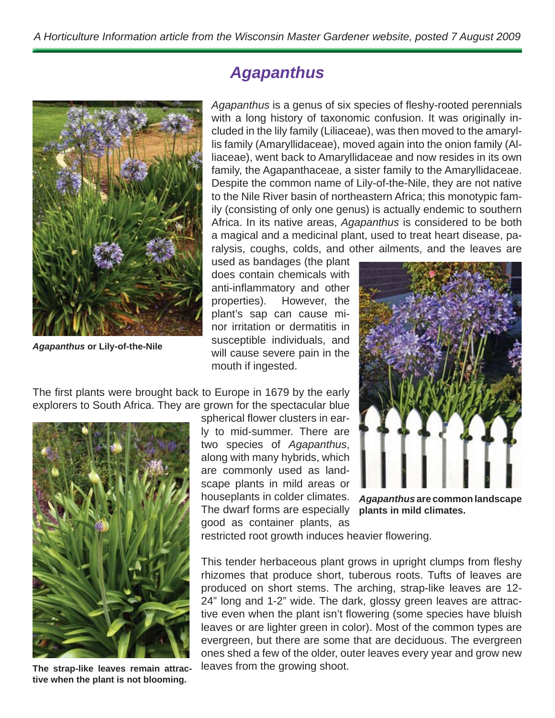

*Agapanthus* **or Lily-of-the-Nile**

## *Agapanthus*

Agapanthus is a genus of six species of fleshy-rooted perennials with a long history of taxonomic confusion. It was originally included in the lily family (Liliaceae), was then moved to the amaryllis family (Amaryllidaceae), moved again into the onion family (Alliaceae), went back to Amaryllidaceae and now resides in its own family, the Agapanthaceae, a sister family to the Amaryllidaceae. Despite the common name of Lily-of-the-Nile, they are not native to the Nile River basin of northeastern Africa; this monotypic family (consisting of only one genus) is actually endemic to southern Africa. In its native areas, *Agapanthus* is considered to be both a magical and a medicinal plant, used to treat heart disease, paralysis, coughs, colds, and other ailments, and the leaves are

used as bandages (the plant does contain chemicals with anti-inflammatory and other properties). However, the plant's sap can cause minor irritation or dermatitis in susceptible individuals, and will cause severe pain in the mouth if ingested.



The first plants were brought back to Europe in 1679 by the early explorers to South Africa. They are grown for the spectacular blue



**The strap-like leaves remain attractive when the plant is not blooming.**

spherical flower clusters in early to mid-summer. There are two species of *Agapanthus*, along with many hybrids, which are commonly used as landscape plants in mild areas or houseplants in colder climates. The dwarf forms are especially **plants in mild climates.** good as container plants, as

*Agapanthus* **are common landscape** 

restricted root growth induces heavier flowering.

This tender herbaceous plant grows in upright clumps from fleshy rhizomes that produce short, tuberous roots. Tufts of leaves are produced on short stems. The arching, strap-like leaves are 12- 24" long and 1-2" wide. The dark, glossy green leaves are attractive even when the plant isn't flowering (some species have bluish leaves or are lighter green in color). Most of the common types are evergreen, but there are some that are deciduous. The evergreen ones shed a few of the older, outer leaves every year and grow new leaves from the growing shoot.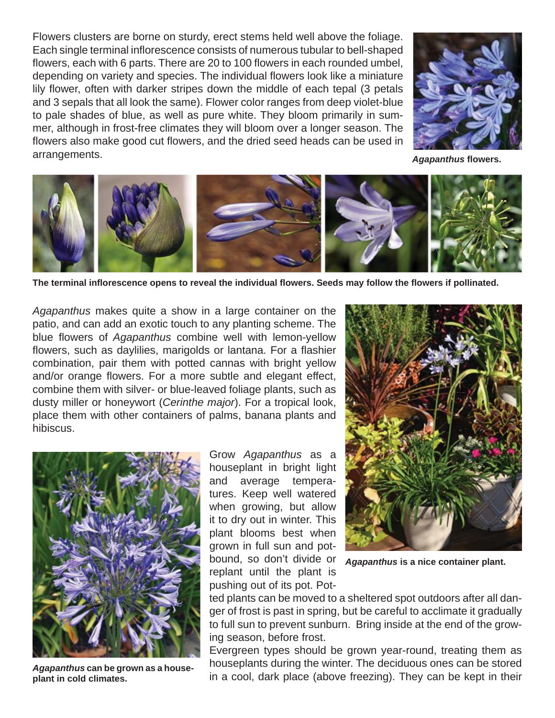Flowers clusters are borne on sturdy, erect stems held well above the foliage. Each single terminal inflorescence consists of numerous tubular to bell-shaped flowers, each with 6 parts. There are 20 to 100 flowers in each rounded umbel, depending on variety and species. The individual flowers look like a miniature lily flower, often with darker stripes down the middle of each tepal (3 petals and 3 sepals that all look the same). Flower color ranges from deep violet-blue to pale shades of blue, as well as pure white. They bloom primarily in summer, although in frost-free climates they will bloom over a longer season. The flowers also make good cut flowers, and the dried seed heads can be used in arrangements.



*Agapanthus* **fl owers.**



**The terminal infl orescence opens to reveal the individual fl owers. Seeds may follow the fl owers if pollinated.**

*Agapanthus* makes quite a show in a large container on the patio, and can add an exotic touch to any planting scheme. The blue flowers of *Agapanthus* combine well with lemon-yellow flowers, such as daylilies, marigolds or lantana. For a flashier combination, pair them with potted cannas with bright yellow and/or orange flowers. For a more subtle and elegant effect, combine them with silver- or blue-leaved foliage plants, such as dusty miller or honeywort (*Cerinthe major*). For a tropical look, place them with other containers of palms, banana plants and hibiscus.



*Agapanthus* **can be grown as a houseplant in cold climates.**

Grow *Agapanthus* as a houseplant in bright light and average temperatures. Keep well watered when growing, but allow it to dry out in winter. This plant blooms best when grown in full sun and potbound, so don't divide or replant until the plant is pushing out of its pot. Pot-



*Agapanthus* **is a nice container plant.**

ted plants can be moved to a sheltered spot outdoors after all danger of frost is past in spring, but be careful to acclimate it gradually to full sun to prevent sunburn. Bring inside at the end of the growing season, before frost.

Evergreen types should be grown year-round, treating them as houseplants during the winter. The deciduous ones can be stored in a cool, dark place (above freezing). They can be kept in their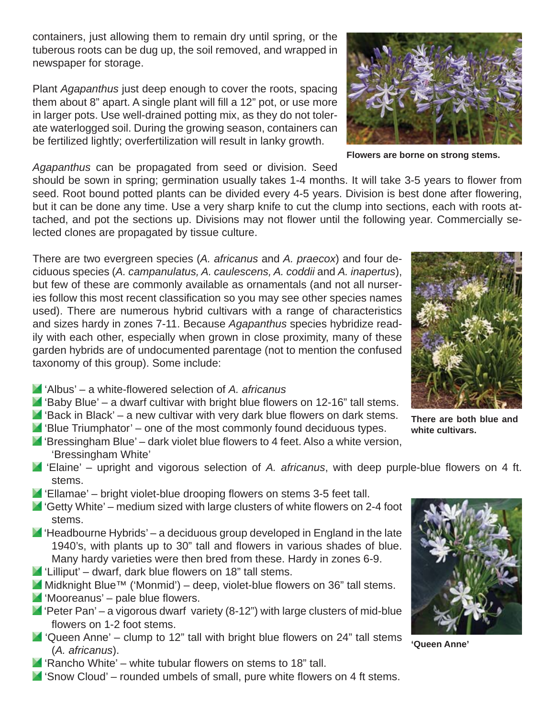containers, just allowing them to remain dry until spring, or the tuberous roots can be dug up, the soil removed, and wrapped in newspaper for storage.

Plant *Agapanthus* just deep enough to cover the roots, spacing them about 8" apart. A single plant will fill a 12" pot, or use more in larger pots. Use well-drained potting mix, as they do not tolerate waterlogged soil. During the growing season, containers can be fertilized lightly; overfertilization will result in lanky growth.

*Agapanthus* can be propagated from seed or division. Seed

should be sown in spring; germination usually takes 1-4 months. It will take 3-5 years to flower from seed. Root bound potted plants can be divided every 4-5 years. Division is best done after flowering, but it can be done any time. Use a very sharp knife to cut the clump into sections, each with roots attached, and pot the sections up. Divisions may not flower until the following year. Commercially selected clones are propagated by tissue culture.

There are two evergreen species (*A. africanus* and *A. praecox*) and four deciduous species (*A. campanulatus, A. caulescens, A. coddii* and *A. inapertus*), but few of these are commonly available as ornamentals (and not all nurseries follow this most recent classification so you may see other species names used). There are numerous hybrid cultivars with a range of characteristics and sizes hardy in zones 7-11. Because *Agapanthus* species hybridize readily with each other, especially when grown in close proximity, many of these garden hybrids are of undocumented parentage (not to mention the confused taxonomy of this group). Some include:

- 'Albus' a white-fl owered selection of *A. africanus*
- $\blacksquare$  'Baby Blue' a dwarf cultivar with bright blue flowers on 12-16" tall stems.
- $\blacksquare$  'Back in Black' a new cultivar with very dark blue flowers on dark stems.
- $\blacksquare$  'Blue Triumphator' one of the most commonly found deciduous types.
- $\blacksquare$  'Bressingham Blue' dark violet blue flowers to 4 feet. Also a white version, 'Bressingham White'
- **Elaine'** upright and vigorous selection of A. africanus, with deep purple-blue flowers on 4 ft. stems.
- $\blacksquare$  'Ellamae' bright violet-blue drooping flowers on stems 3-5 feet tall.
- $\blacksquare$  'Getty White' medium sized with large clusters of white flowers on 2-4 foot stems.
- $\blacksquare$  'Headbourne Hybrids' a deciduous group developed in England in the late 1940's, with plants up to 30" tall and flowers in various shades of blue. Many hardy varieties were then bred from these. Hardy in zones 6-9.
- $\blacksquare$  'Lilliput' dwarf, dark blue flowers on 18" tall stems.
- $M$  Midknight Blue™ ('Monmid') deep, violet-blue flowers on 36" tall stems.
- $\blacksquare$  'Mooreanus' pale blue flowers.
- $\blacksquare$  'Peter Pan' a vigorous dwarf variety (8-12") with large clusters of mid-blue flowers on 1-2 foot stems.
- $\blacksquare$  'Queen Anne' clump to 12" tall with bright blue flowers on 24" tall stems (*A. africanus*).
- $\blacksquare$  'Rancho White' white tubular flowers on stems to 18" tall.
- $\blacksquare$  'Snow Cloud' rounded umbels of small, pure white flowers on 4 ft stems.

**There are both blue and** 



**'Queen Anne'**